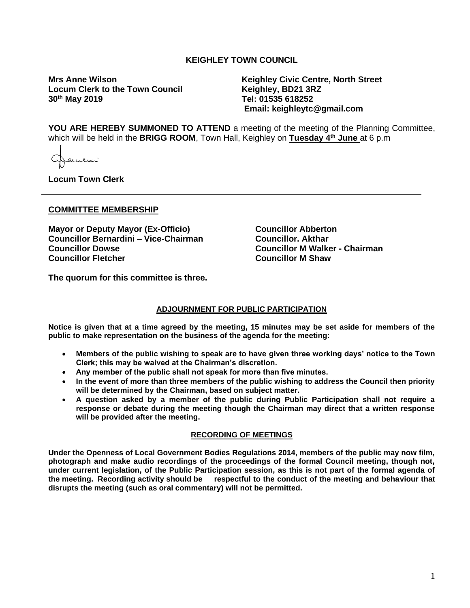## **KEIGHLEY TOWN COUNCIL**

**Locum Clerk to the Town Council 30th May 2019** 

**Mrs Anne Wilson Keighley Civic Centre, North Street 30th May 2019 Tel: 01535 618252 Email: keighleytc@gmail.com**

**YOU ARE HEREBY SUMMONED TO ATTEND** a meeting of the meeting of the Planning Committee, which will be held in the **BRIGG ROOM**, Town Hall, Keighley on **Tuesday 4 th June** at 6 p.m

فلتتلمث

**Locum Town Clerk**

#### **COMMITTEE MEMBERSHIP**

**Mayor or Deputy Mayor (Ex-Officio) Councillor Bernardini – Vice-Chairman Councillor Dowse Councillor Fletcher** 

**Councillor Abberton Councillor. Akthar Councillor M Walker - Chairman Councillor M Shaw**

**The quorum for this committee is three.**

### **ADJOURNMENT FOR PUBLIC PARTICIPATION**

**Notice is given that at a time agreed by the meeting, 15 minutes may be set aside for members of the public to make representation on the business of the agenda for the meeting:**

- **Members of the public wishing to speak are to have given three working days' notice to the Town Clerk; this may be waived at the Chairman's discretion.**
- **Any member of the public shall not speak for more than five minutes.**
- **In the event of more than three members of the public wishing to address the Council then priority will be determined by the Chairman, based on subject matter.**
- **A question asked by a member of the public during Public Participation shall not require a response or debate during the meeting though the Chairman may direct that a written response will be provided after the meeting.**

#### **RECORDING OF MEETINGS**

**Under the Openness of Local Government Bodies Regulations 2014, members of the public may now film, photograph and make audio recordings of the proceedings of the formal Council meeting, though not, under current legislation, of the Public Participation session, as this is not part of the formal agenda of the meeting. Recording activity should be respectful to the conduct of the meeting and behaviour that disrupts the meeting (such as oral commentary) will not be permitted.**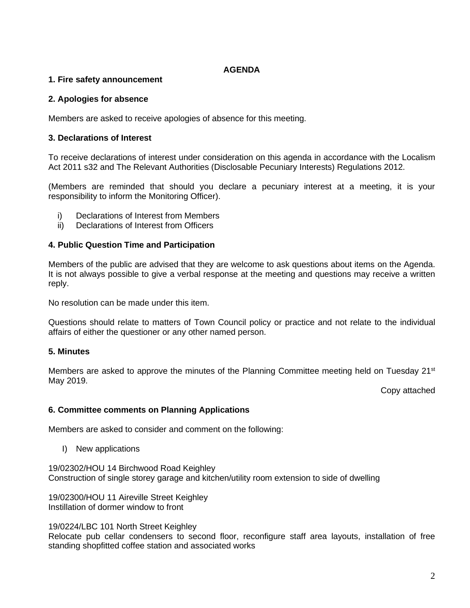## **AGENDA**

# **1. Fire safety announcement**

## **2. Apologies for absence**

Members are asked to receive apologies of absence for this meeting.

# **3. Declarations of Interest**

To receive declarations of interest under consideration on this agenda in accordance with the Localism Act 2011 s32 and The Relevant Authorities (Disclosable Pecuniary Interests) Regulations 2012.

(Members are reminded that should you declare a pecuniary interest at a meeting, it is your responsibility to inform the Monitoring Officer).

- i) Declarations of Interest from Members
- ii) Declarations of Interest from Officers

# **4. Public Question Time and Participation**

Members of the public are advised that they are welcome to ask questions about items on the Agenda. It is not always possible to give a verbal response at the meeting and questions may receive a written reply.

No resolution can be made under this item.

Questions should relate to matters of Town Council policy or practice and not relate to the individual affairs of either the questioner or any other named person.

# **5. Minutes**

Members are asked to approve the minutes of the Planning Committee meeting held on Tuesday 21<sup>st</sup> May 2019.

Copy attached

## **6. Committee comments on Planning Applications**

Members are asked to consider and comment on the following:

I) New applications

19/02302/HOU 14 Birchwood Road Keighley Construction of single storey garage and kitchen/utility room extension to side of dwelling

19/02300/HOU 11 Aireville Street Keighley Instillation of dormer window to front

19/0224/LBC 101 North Street Keighley Relocate pub cellar condensers to second floor, reconfigure staff area layouts, installation of free standing shopfitted coffee station and associated works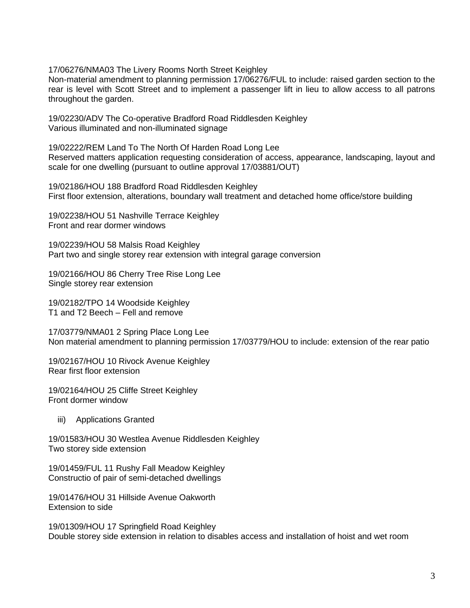17/06276/NMA03 The Livery Rooms North Street Keighley

Non-material amendment to planning permission 17/06276/FUL to include: raised garden section to the rear is level with Scott Street and to implement a passenger lift in lieu to allow access to all patrons throughout the garden.

19/02230/ADV The Co-operative Bradford Road Riddlesden Keighley Various illuminated and non-illuminated signage

19/02222/REM Land To The North Of Harden Road Long Lee Reserved matters application requesting consideration of access, appearance, landscaping, layout and scale for one dwelling (pursuant to outline approval 17/03881/OUT)

19/02186/HOU 188 Bradford Road Riddlesden Keighley First floor extension, alterations, boundary wall treatment and detached home office/store building

19/02238/HOU 51 Nashville Terrace Keighley Front and rear dormer windows

19/02239/HOU 58 Malsis Road Keighley Part two and single storey rear extension with integral garage conversion

19/02166/HOU 86 Cherry Tree Rise Long Lee Single storey rear extension

19/02182/TPO 14 Woodside Keighley T1 and T2 Beech – Fell and remove

17/03779/NMA01 2 Spring Place Long Lee Non material amendment to planning permission 17/03779/HOU to include: extension of the rear patio

19/02167/HOU 10 Rivock Avenue Keighley Rear first floor extension

19/02164/HOU 25 Cliffe Street Keighley Front dormer window

iii) Applications Granted

19/01583/HOU 30 Westlea Avenue Riddlesden Keighley Two storey side extension

19/01459/FUL 11 Rushy Fall Meadow Keighley Constructio of pair of semi-detached dwellings

19/01476/HOU 31 Hillside Avenue Oakworth Extension to side

19/01309/HOU 17 Springfield Road Keighley Double storey side extension in relation to disables access and installation of hoist and wet room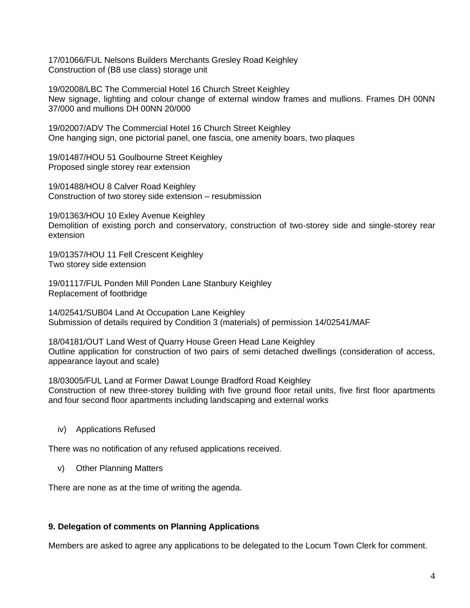17/01066/FUL Nelsons Builders Merchants Gresley Road Keighley Construction of (B8 use class) storage unit

19/02008/LBC The Commercial Hotel 16 Church Street Keighley New signage, lighting and colour change of external window frames and mullions. Frames DH 00NN 37/000 and mullions DH 00NN 20/000

19/02007/ADV The Commercial Hotel 16 Church Street Keighley One hanging sign, one pictorial panel, one fascia, one amenity boars, two plaques

19/01487/HOU 51 Goulbourne Street Keighley Proposed single storey rear extension

19/01488/HOU 8 Calver Road Keighley Construction of two storey side extension – resubmission

19/01363/HOU 10 Exley Avenue Keighley Demolition of existing porch and conservatory, construction of two-storey side and single-storey rear extension

19/01357/HOU 11 Fell Crescent Keighley Two storey side extension

19/01117/FUL Ponden Mill Ponden Lane Stanbury Keighley Replacement of footbridge

14/02541/SUB04 Land At Occupation Lane Keighley Submission of details required by Condition 3 (materials) of permission 14/02541/MAF

18/04181/OUT Land West of Quarry House Green Head Lane Keighley Outline application for construction of two pairs of semi detached dwellings (consideration of access, appearance layout and scale)

18/03005/FUL Land at Former Dawat Lounge Bradford Road Keighley Construction of new three-storey building with five ground floor retail units, five first floor apartments and four second floor apartments including landscaping and external works

iv) Applications Refused

There was no notification of any refused applications received.

v) Other Planning Matters

There are none as at the time of writing the agenda.

## **9. Delegation of comments on Planning Applications**

Members are asked to agree any applications to be delegated to the Locum Town Clerk for comment.